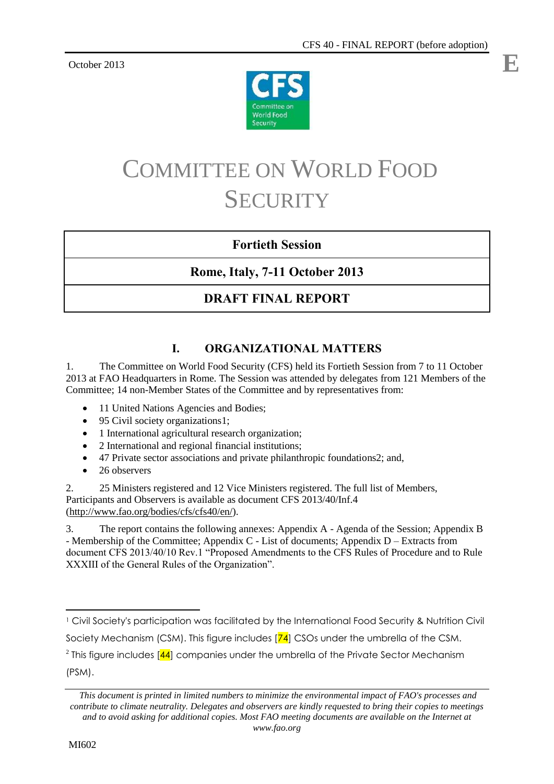**E**

October 2013



# COMMITTEE ON WORLD FOOD **SECURITY**

# **Fortieth Session**

# **Rome, Italy, 7-11 October 2013**

# **DRAFT FINAL REPORT**

# **I. ORGANIZATIONAL MATTERS**

1. The Committee on World Food Security (CFS) held its Fortieth Session from 7 to 11 October 2013 at FAO Headquarters in Rome. The Session was attended by delegates from 121 Members of the Committee; 14 non-Member States of the Committee and by representatives from:

- 11 United Nations Agencies and Bodies;
- 95 Civil society organizations1;
- 1 International agricultural research organization;
- 2 International and regional financial institutions;
- 47 Private sector associations and private philanthropic foundations2; and,
- 26 observers

2. 25 Ministers registered and 12 Vice Ministers registered. The full list of Members, Participants and Observers is available as document CFS 2013/40/Inf.4 [\(http://www.fao.org/bodies/cfs/cfs40/en/\)](http://www.fao.org/bodies/cfs/cfs40/en/).

3. The report contains the following annexes: Appendix A - Agenda of the Session; Appendix B - Membership of the Committee; Appendix C - List of documents; Appendix D – Extracts from document CFS 2013/40/10 Rev.1 "Proposed Amendments to the CFS Rules of Procedure and to Rule XXXIII of the General Rules of the Organization".

 $\overline{a}$ <sup>1</sup> Civil Society's participation was facilitated by the International Food Security & Nutrition Civil

Society Mechanism (CSM). This figure includes  $[74]$  CSOs under the umbrella of the CSM.

 $^2$  This figure includes [ $44$ ] companies under the umbrella of the Private Sector Mechanism (PSM).

*This document is printed in limited numbers to minimize the environmental impact of FAO's processes and contribute to climate neutrality. Delegates and observers are kindly requested to bring their copies to meetings and to avoid asking for additional copies. Most FAO meeting documents are available on the Internet at www.fao.org*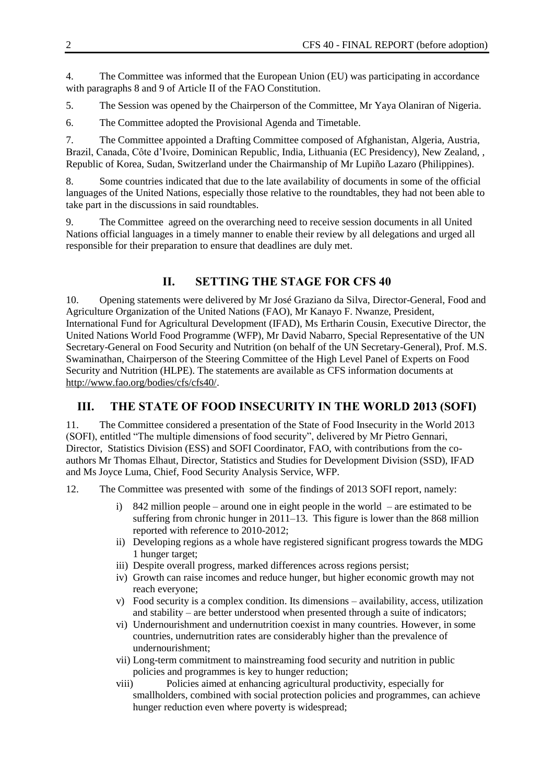4. The Committee was informed that the European Union (EU) was participating in accordance with paragraphs 8 and 9 of Article II of the FAO Constitution.

5. The Session was opened by the Chairperson of the Committee, Mr Yaya Olaniran of Nigeria.

6. The Committee adopted the Provisional Agenda and Timetable.

7. The Committee appointed a Drafting Committee composed of Afghanistan, Algeria, Austria, Brazil, Canada, Côte d"Ivoire, Dominican Republic, India, Lithuania (EC Presidency), New Zealand, , Republic of Korea, Sudan, Switzerland under the Chairmanship of Mr Lupiño Lazaro (Philippines).

8. Some countries indicated that due to the late availability of documents in some of the official languages of the United Nations, especially those relative to the roundtables, they had not been able to take part in the discussions in said roundtables.

9. The Committee agreed on the overarching need to receive session documents in all United Nations official languages in a timely manner to enable their review by all delegations and urged all responsible for their preparation to ensure that deadlines are duly met.

# **II. SETTING THE STAGE FOR CFS 40**

10. Opening statements were delivered by Mr José Graziano da Silva, Director-General, Food and Agriculture Organization of the United Nations (FAO), Mr Kanayo F. Nwanze, President, International Fund for Agricultural Development (IFAD), Ms Ertharin Cousin, Executive Director, the United Nations World Food Programme (WFP), Mr David Nabarro, Special Representative of the UN Secretary-General on Food Security and Nutrition (on behalf of the UN Secretary-General), Prof. M.S. Swaminathan, Chairperson of the Steering Committee of the High Level Panel of Experts on Food Security and Nutrition (HLPE). The statements are available as CFS information documents at [http://www.fao.org/bodies/cfs/cfs40/.](http://www.fao.org/bodies/cfs/cfs40/)

# **III. THE STATE OF FOOD INSECURITY IN THE WORLD 2013 (SOFI)**

11. The Committee considered a presentation of the State of Food Insecurity in the World 2013 (SOFI), entitled "The multiple dimensions of food security", delivered by Mr Pietro Gennari, Director, Statistics Division (ESS) and SOFI Coordinator, FAO, with contributions from the coauthors Mr Thomas Elhaut, Director, Statistics and Studies for Development Division (SSD), IFAD and Ms Joyce Luma, Chief, Food Security Analysis Service, WFP.

- 12. The Committee was presented with some of the findings of 2013 SOFI report, namely:
	- i) 842 million people around one in eight people in the world are estimated to be suffering from chronic hunger in 2011–13. This figure is lower than the 868 million reported with reference to 2010-2012;
	- ii) Developing regions as a whole have registered significant progress towards the MDG 1 hunger target;
	- iii) Despite overall progress, marked differences across regions persist;
	- iv) Growth can raise incomes and reduce hunger, but higher economic growth may not reach everyone;
	- v) Food security is a complex condition. Its dimensions availability, access, utilization and stability – are better understood when presented through a suite of indicators;
	- vi) Undernourishment and undernutrition coexist in many countries. However, in some countries, undernutrition rates are considerably higher than the prevalence of undernourishment;
	- vii) Long-term commitment to mainstreaming food security and nutrition in public policies and programmes is key to hunger reduction;
	- viii) Policies aimed at enhancing agricultural productivity, especially for smallholders, combined with social protection policies and programmes, can achieve hunger reduction even where poverty is widespread;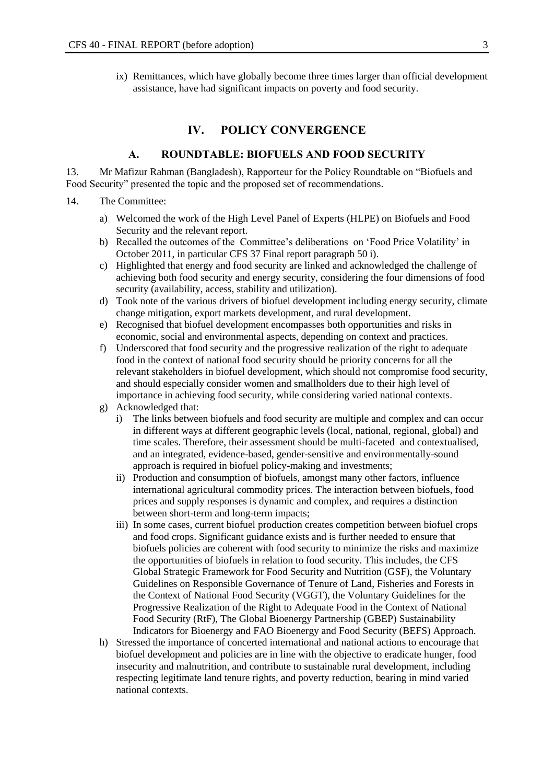ix) Remittances, which have globally become three times larger than official development assistance, have had significant impacts on poverty and food security.

# **IV. POLICY CONVERGENCE**

#### **A. ROUNDTABLE: BIOFUELS AND FOOD SECURITY**

13. Mr Mafizur Rahman (Bangladesh), Rapporteur for the Policy Roundtable on "Biofuels and Food Security" presented the topic and the proposed set of recommendations.

- 14. The Committee:
	- a) Welcomed the work of the High Level Panel of Experts (HLPE) on Biofuels and Food Security and the relevant report.
	- b) Recalled the outcomes of the Committee's deliberations on 'Food Price Volatility' in October 2011, in particular CFS 37 Final report paragraph 50 i).
	- c) Highlighted that energy and food security are linked and acknowledged the challenge of achieving both food security and energy security, considering the four dimensions of food security (availability, access, stability and utilization).
	- d) Took note of the various drivers of biofuel development including energy security, climate change mitigation, export markets development, and rural development.
	- e) Recognised that biofuel development encompasses both opportunities and risks in economic, social and environmental aspects, depending on context and practices.
	- f) Underscored that food security and the progressive realization of the right to adequate food in the context of national food security should be priority concerns for all the relevant stakeholders in biofuel development, which should not compromise food security, and should especially consider women and smallholders due to their high level of importance in achieving food security, while considering varied national contexts.
	- g) Acknowledged that:
		- i) The links between biofuels and food security are multiple and complex and can occur in different ways at different geographic levels (local, national, regional, global) and time scales. Therefore, their assessment should be multi-faceted and contextualised, and an integrated, evidence-based, gender-sensitive and environmentally-sound approach is required in biofuel policy-making and investments;
		- ii) Production and consumption of biofuels, amongst many other factors, influence international agricultural commodity prices. The interaction between biofuels, food prices and supply responses is dynamic and complex, and requires a distinction between short-term and long-term impacts;
		- iii) In some cases, current biofuel production creates competition between biofuel crops and food crops. Significant guidance exists and is further needed to ensure that biofuels policies are coherent with food security to minimize the risks and maximize the opportunities of biofuels in relation to food security. This includes, the CFS Global Strategic Framework for Food Security and Nutrition (GSF), the Voluntary Guidelines on Responsible Governance of Tenure of Land, Fisheries and Forests in the Context of National Food Security (VGGT), the Voluntary Guidelines for the Progressive Realization of the Right to Adequate Food in the Context of National Food Security (RtF), The Global Bioenergy Partnership (GBEP) Sustainability Indicators for Bioenergy and FAO Bioenergy and Food Security (BEFS) Approach.
	- h) Stressed the importance of concerted international and national actions to encourage that biofuel development and policies are in line with the objective to eradicate hunger, food insecurity and malnutrition, and contribute to sustainable rural development, including respecting legitimate land tenure rights, and poverty reduction, bearing in mind varied national contexts.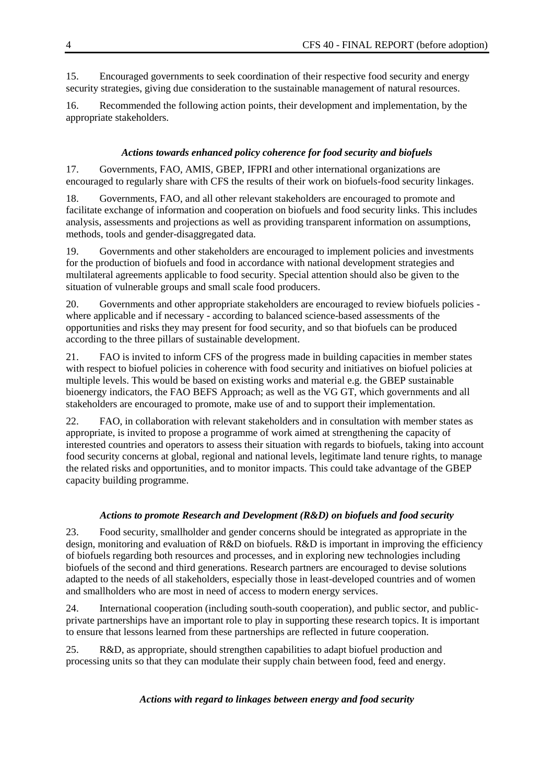15. Encouraged governments to seek coordination of their respective food security and energy security strategies, giving due consideration to the sustainable management of natural resources.

16. Recommended the following action points, their development and implementation, by the appropriate stakeholders.

#### *Actions towards enhanced policy coherence for food security and biofuels*

17. Governments, FAO, AMIS, GBEP, IFPRI and other international organizations are encouraged to regularly share with CFS the results of their work on biofuels-food security linkages.

18. Governments, FAO, and all other relevant stakeholders are encouraged to promote and facilitate exchange of information and cooperation on biofuels and food security links. This includes analysis, assessments and projections as well as providing transparent information on assumptions, methods, tools and gender-disaggregated data.

19. Governments and other stakeholders are encouraged to implement policies and investments for the production of biofuels and food in accordance with national development strategies and multilateral agreements applicable to food security. Special attention should also be given to the situation of vulnerable groups and small scale food producers.

20. Governments and other appropriate stakeholders are encouraged to review biofuels policies where applicable and if necessary - according to balanced science-based assessments of the opportunities and risks they may present for food security, and so that biofuels can be produced according to the three pillars of sustainable development.

21. FAO is invited to inform CFS of the progress made in building capacities in member states with respect to biofuel policies in coherence with food security and initiatives on biofuel policies at multiple levels. This would be based on existing works and material e.g. the GBEP sustainable bioenergy indicators, the FAO BEFS Approach; as well as the VG GT, which governments and all stakeholders are encouraged to promote, make use of and to support their implementation.

22. FAO, in collaboration with relevant stakeholders and in consultation with member states as appropriate, is invited to propose a programme of work aimed at strengthening the capacity of interested countries and operators to assess their situation with regards to biofuels, taking into account food security concerns at global, regional and national levels, legitimate land tenure rights, to manage the related risks and opportunities, and to monitor impacts. This could take advantage of the GBEP capacity building programme.

#### *Actions to promote Research and Development (R&D) on biofuels and food security*

23. Food security, smallholder and gender concerns should be integrated as appropriate in the design, monitoring and evaluation of R&D on biofuels. R&D is important in improving the efficiency of biofuels regarding both resources and processes, and in exploring new technologies including biofuels of the second and third generations. Research partners are encouraged to devise solutions adapted to the needs of all stakeholders, especially those in least-developed countries and of women and smallholders who are most in need of access to modern energy services.

24. International cooperation (including south-south cooperation), and public sector, and publicprivate partnerships have an important role to play in supporting these research topics. It is important to ensure that lessons learned from these partnerships are reflected in future cooperation.

25. R&D, as appropriate, should strengthen capabilities to adapt biofuel production and processing units so that they can modulate their supply chain between food, feed and energy.

#### *Actions with regard to linkages between energy and food security*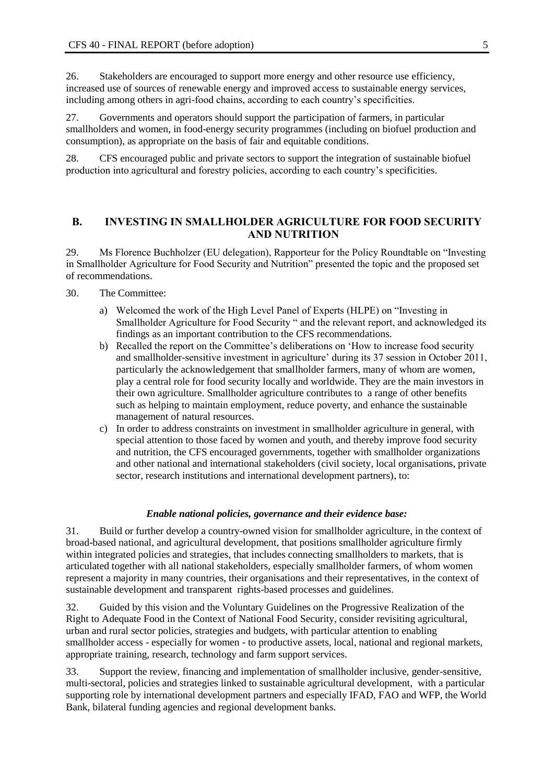26. Stakeholders are encouraged to support more energy and other resource use efficiency, increased use of sources of renewable energy and improved access to sustainable energy services, including among others in agri-food chains, according to each country"s specificities.

27. Governments and operators should support the participation of farmers, in particular smallholders and women, in food-energy security programmes (including on biofuel production and consumption), as appropriate on the basis of fair and equitable conditions.

28. CFS encouraged public and private sectors to support the integration of sustainable biofuel production into agricultural and forestry policies, according to each country"s specificities.

#### **B. INVESTING IN SMALLHOLDER AGRICULTURE FOR FOOD SECURITY AND NUTRITION**

29. Ms Florence Buchholzer (EU delegation), Rapporteur for the Policy Roundtable on "Investing in Smallholder Agriculture for Food Security and Nutrition" presented the topic and the proposed set of recommendations.

30. The Committee:

- a) Welcomed the work of the High Level Panel of Experts (HLPE) on "Investing in Smallholder Agriculture for Food Security " and the relevant report, and acknowledged its findings as an important contribution to the CFS recommendations.
- b) Recalled the report on the Committee's deliberations on 'How to increase food security and smallholder-sensitive investment in agriculture" during its 37 session in October 2011, particularly the acknowledgement that smallholder farmers, many of whom are women, play a central role for food security locally and worldwide. They are the main investors in their own agriculture. Smallholder agriculture contributes to a range of other benefits such as helping to maintain employment, reduce poverty, and enhance the sustainable management of natural resources.
- c) In order to address constraints on investment in smallholder agriculture in general, with special attention to those faced by women and youth, and thereby improve food security and nutrition, the CFS encouraged governments, together with smallholder organizations and other national and international stakeholders (civil society, local organisations, private sector, research institutions and international development partners), to:

#### *Enable national policies, governance and their evidence base:*

31. Build or further develop a country-owned vision for smallholder agriculture, in the context of broad-based national, and agricultural development, that positions smallholder agriculture firmly within integrated policies and strategies, that includes connecting smallholders to markets, that is articulated together with all national stakeholders, especially smallholder farmers, of whom women represent a majority in many countries, their organisations and their representatives, in the context of sustainable development and transparent rights-based processes and guidelines.

32. Guided by this vision and the Voluntary Guidelines on the Progressive Realization of the Right to Adequate Food in the Context of National Food Security, consider revisiting agricultural, urban and rural sector policies, strategies and budgets, with particular attention to enabling smallholder access - especially for women - to productive assets, local, national and regional markets, appropriate training, research, technology and farm support services.

33. Support the review, financing and implementation of smallholder inclusive, gender-sensitive, multi-sectoral, policies and strategies linked to sustainable agricultural development, with a particular supporting role by international development partners and especially IFAD, FAO and WFP, the World Bank, bilateral funding agencies and regional development banks.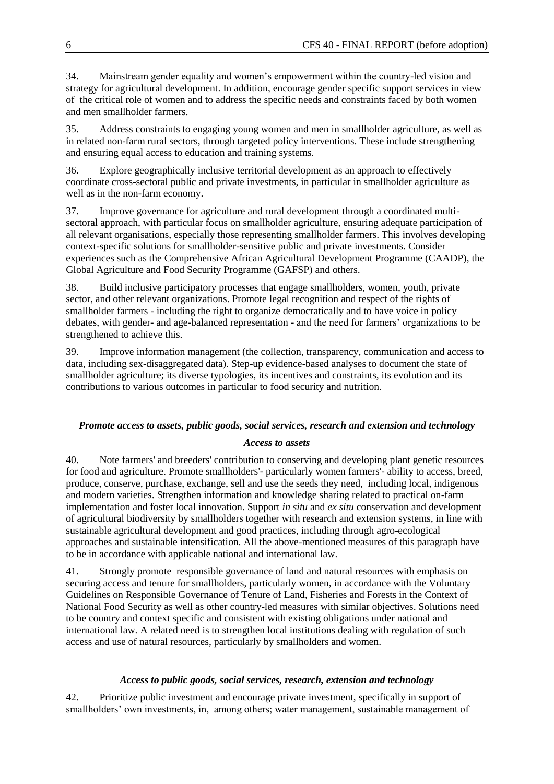34. Mainstream gender equality and women"s empowerment within the country-led vision and strategy for agricultural development. In addition, encourage gender specific support services in view of the critical role of women and to address the specific needs and constraints faced by both women and men smallholder farmers.

35. Address constraints to engaging young women and men in smallholder agriculture, as well as in related non-farm rural sectors, through targeted policy interventions. These include strengthening and ensuring equal access to education and training systems.

36. Explore geographically inclusive territorial development as an approach to effectively coordinate cross-sectoral public and private investments, in particular in smallholder agriculture as well as in the non-farm economy.

37. Improve governance for agriculture and rural development through a coordinated multisectoral approach, with particular focus on smallholder agriculture, ensuring adequate participation of all relevant organisations, especially those representing smallholder farmers. This involves developing context-specific solutions for smallholder-sensitive public and private investments. Consider experiences such as the Comprehensive African Agricultural Development Programme (CAADP), the Global Agriculture and Food Security Programme (GAFSP) and others.

38. Build inclusive participatory processes that engage smallholders, women, youth, private sector, and other relevant organizations. Promote legal recognition and respect of the rights of smallholder farmers - including the right to organize democratically and to have voice in policy debates, with gender- and age-balanced representation - and the need for farmers" organizations to be strengthened to achieve this.

39. Improve information management (the collection, transparency, communication and access to data, including sex-disaggregated data). Step-up evidence-based analyses to document the state of smallholder agriculture; its diverse typologies, its incentives and constraints, its evolution and its contributions to various outcomes in particular to food security and nutrition.

# *Promote access to assets, public goods, social services, research and extension and technology*

## *Access to assets*

40. Note farmers' and breeders' contribution to conserving and developing plant genetic resources for food and agriculture. Promote smallholders'- particularly women farmers'- ability to access, breed, produce, conserve, purchase, exchange, sell and use the seeds they need, including local, indigenous and modern varieties. Strengthen information and knowledge sharing related to practical on-farm implementation and foster local innovation. Support *in situ* and *ex situ* conservation and development of agricultural biodiversity by smallholders together with research and extension systems, in line with sustainable agricultural development and good practices, including through agro-ecological approaches and sustainable intensification. All the above-mentioned measures of this paragraph have to be in accordance with applicable national and international law.

41. Strongly promote responsible governance of land and natural resources with emphasis on securing access and tenure for smallholders, particularly women, in accordance with the Voluntary Guidelines on Responsible Governance of Tenure of Land, Fisheries and Forests in the Context of National Food Security as well as other country-led measures with similar objectives. Solutions need to be country and context specific and consistent with existing obligations under national and international law. A related need is to strengthen local institutions dealing with regulation of such access and use of natural resources, particularly by smallholders and women.

## *Access to public goods, social services, research, extension and technology*

42. Prioritize public investment and encourage private investment, specifically in support of smallholders' own investments, in, among others; water management, sustainable management of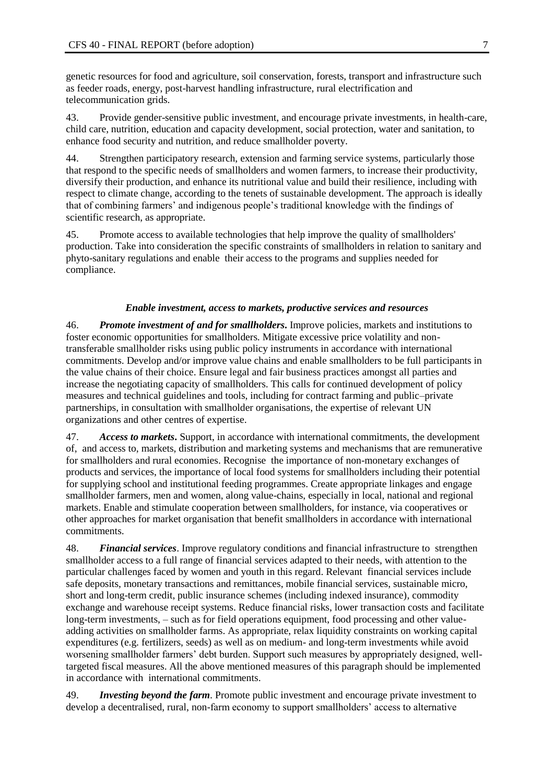genetic resources for food and agriculture, soil conservation, forests, transport and infrastructure such as feeder roads, energy, post-harvest handling infrastructure, rural electrification and telecommunication grids.

43. Provide gender-sensitive public investment, and encourage private investments, in health-care, child care, nutrition, education and capacity development, social protection, water and sanitation, to enhance food security and nutrition, and reduce smallholder poverty.

44. Strengthen participatory research, extension and farming service systems, particularly those that respond to the specific needs of smallholders and women farmers, to increase their productivity, diversify their production, and enhance its nutritional value and build their resilience, including with respect to climate change, according to the tenets of sustainable development. The approach is ideally that of combining farmers" and indigenous people"s traditional knowledge with the findings of scientific research, as appropriate.

45. Promote access to available technologies that help improve the quality of smallholders' production. Take into consideration the specific constraints of smallholders in relation to sanitary and phyto-sanitary regulations and enable their access to the programs and supplies needed for compliance.

#### *Enable investment, access to markets, productive services and resources*

46. *Promote investment of and for smallholders***.** Improve policies, markets and institutions to foster economic opportunities for smallholders. Mitigate excessive price volatility and nontransferable smallholder risks using public policy instruments in accordance with international commitments. Develop and/or improve value chains and enable smallholders to be full participants in the value chains of their choice. Ensure legal and fair business practices amongst all parties and increase the negotiating capacity of smallholders. This calls for continued development of policy measures and technical guidelines and tools, including for contract farming and public–private partnerships, in consultation with smallholder organisations, the expertise of relevant UN organizations and other centres of expertise.

47. *Access to markets***.** Support, in accordance with international commitments, the development of, and access to, markets, distribution and marketing systems and mechanisms that are remunerative for smallholders and rural economies. Recognise the importance of non-monetary exchanges of products and services, the importance of local food systems for smallholders including their potential for supplying school and institutional feeding programmes. Create appropriate linkages and engage smallholder farmers, men and women, along value-chains, especially in local, national and regional markets. Enable and stimulate cooperation between smallholders, for instance, via cooperatives or other approaches for market organisation that benefit smallholders in accordance with international commitments.

48. *Financial services*. Improve regulatory conditions and financial infrastructure to strengthen smallholder access to a full range of financial services adapted to their needs, with attention to the particular challenges faced by women and youth in this regard. Relevant financial services include safe deposits, monetary transactions and remittances, mobile financial services, sustainable micro, short and long-term credit, public insurance schemes (including indexed insurance), commodity exchange and warehouse receipt systems. Reduce financial risks, lower transaction costs and facilitate long-term investments, – such as for field operations equipment, food processing and other valueadding activities on smallholder farms. As appropriate, relax liquidity constraints on working capital expenditures (e.g. fertilizers, seeds) as well as on medium- and long-term investments while avoid worsening smallholder farmers' debt burden. Support such measures by appropriately designed, welltargeted fiscal measures. All the above mentioned measures of this paragraph should be implemented in accordance with international commitments.

49. *Investing beyond the farm.* Promote public investment and encourage private investment to develop a decentralised, rural, non-farm economy to support smallholders' access to alternative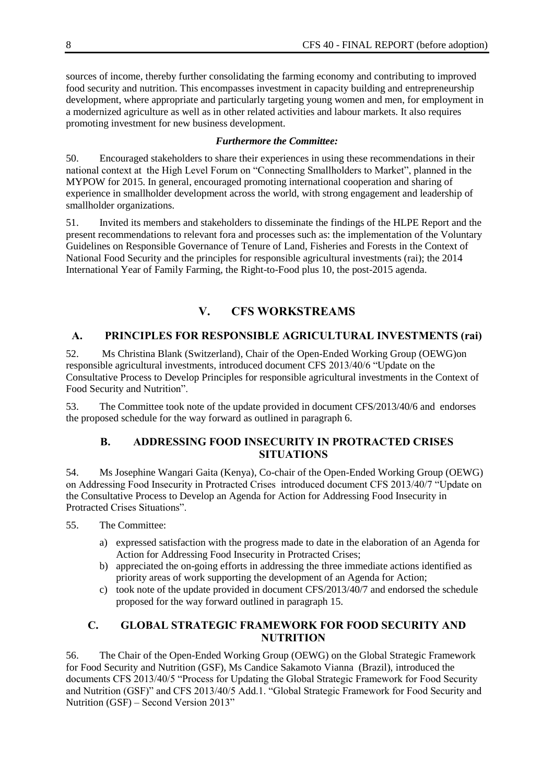sources of income, thereby further consolidating the farming economy and contributing to improved food security and nutrition. This encompasses investment in capacity building and entrepreneurship development, where appropriate and particularly targeting young women and men, for employment in a modernized agriculture as well as in other related activities and labour markets. It also requires promoting investment for new business development.

#### *Furthermore the Committee:*

50. Encouraged stakeholders to share their experiences in using these recommendations in their national context at the High Level Forum on "Connecting Smallholders to Market", planned in the MYPOW for 2015. In general, encouraged promoting international cooperation and sharing of experience in smallholder development across the world, with strong engagement and leadership of smallholder organizations.

51. Invited its members and stakeholders to disseminate the findings of the HLPE Report and the present recommendations to relevant fora and processes such as: the implementation of the Voluntary Guidelines on Responsible Governance of Tenure of Land, Fisheries and Forests in the Context of National Food Security and the principles for responsible agricultural investments (rai); the 2014 International Year of Family Farming, the Right-to-Food plus 10, the post-2015 agenda.

# **V. CFS WORKSTREAMS**

## **A. PRINCIPLES FOR RESPONSIBLE AGRICULTURAL INVESTMENTS (rai)**

52. Ms Christina Blank (Switzerland), Chair of the Open-Ended Working Group (OEWG)on responsible agricultural investments, introduced document CFS 2013/40/6 "Update on the Consultative Process to Develop Principles for responsible agricultural investments in the Context of Food Security and Nutrition".

53. The Committee took note of the update provided in document CFS/2013/40/6 and endorses the proposed schedule for the way forward as outlined in paragraph 6.

#### **B. ADDRESSING FOOD INSECURITY IN PROTRACTED CRISES SITUATIONS**

54. Ms Josephine Wangari Gaita (Kenya), Co-chair of the Open-Ended Working Group (OEWG) on Addressing Food Insecurity in Protracted Crises introduced document CFS 2013/40/7 "Update on the Consultative Process to Develop an Agenda for Action for Addressing Food Insecurity in Protracted Crises Situations".

55. The Committee:

- a) expressed satisfaction with the progress made to date in the elaboration of an Agenda for Action for Addressing Food Insecurity in Protracted Crises;
- b) appreciated the on-going efforts in addressing the three immediate actions identified as priority areas of work supporting the development of an Agenda for Action;
- c) took note of the update provided in document CFS/2013/40/7 and endorsed the schedule proposed for the way forward outlined in paragraph 15.

## **C. GLOBAL STRATEGIC FRAMEWORK FOR FOOD SECURITY AND NUTRITION**

56. The Chair of the Open-Ended Working Group (OEWG) on the Global Strategic Framework for Food Security and Nutrition (GSF), Ms Candice Sakamoto Vianna (Brazil), introduced the documents CFS 2013/40/5 "Process for Updating the Global Strategic Framework for Food Security and Nutrition (GSF)" and CFS 2013/40/5 Add.1. "Global Strategic Framework for Food Security and Nutrition (GSF) – Second Version 2013"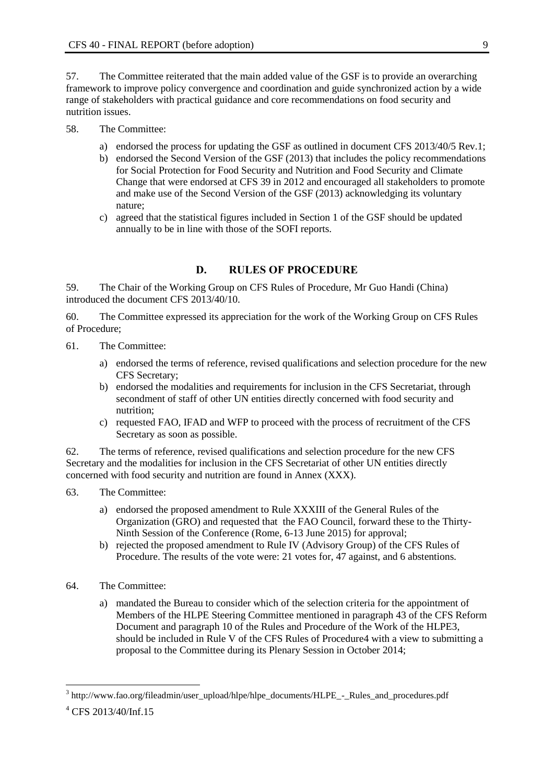57. The Committee reiterated that the main added value of the GSF is to provide an overarching framework to improve policy convergence and coordination and guide synchronized action by a wide range of stakeholders with practical guidance and core recommendations on food security and nutrition issues.

- 58. The Committee:
	- a) endorsed the process for updating the GSF as outlined in document CFS 2013/40/5 Rev.1;
	- b) endorsed the Second Version of the GSF (2013) that includes the policy recommendations for Social Protection for Food Security and Nutrition and Food Security and Climate Change that were endorsed at CFS 39 in 2012 and encouraged all stakeholders to promote and make use of the Second Version of the GSF (2013) acknowledging its voluntary nature;
	- c) agreed that the statistical figures included in Section 1 of the GSF should be updated annually to be in line with those of the SOFI reports.

## **D. RULES OF PROCEDURE**

59. The Chair of the Working Group on CFS Rules of Procedure, Mr Guo Handi (China) introduced the document CFS 2013/40/10.

60. The Committee expressed its appreciation for the work of the Working Group on CFS Rules of Procedure;

- 61. The Committee:
	- a) endorsed the terms of reference, revised qualifications and selection procedure for the new CFS Secretary;
	- b) endorsed the modalities and requirements for inclusion in the CFS Secretariat, through secondment of staff of other UN entities directly concerned with food security and nutrition;
	- c) requested FAO, IFAD and WFP to proceed with the process of recruitment of the CFS Secretary as soon as possible.

62. The terms of reference, revised qualifications and selection procedure for the new CFS Secretary and the modalities for inclusion in the CFS Secretariat of other UN entities directly concerned with food security and nutrition are found in Annex (XXX).

- 63. The Committee:
	- a) endorsed the proposed amendment to Rule XXXIII of the General Rules of the Organization (GRO) and requested that the FAO Council, forward these to the Thirty-Ninth Session of the Conference (Rome, 6-13 June 2015) for approval;
	- b) rejected the proposed amendment to Rule IV (Advisory Group) of the CFS Rules of Procedure. The results of the vote were: 21 votes for, 47 against, and 6 abstentions.
- 64. The Committee:
	- a) mandated the Bureau to consider which of the selection criteria for the appointment of Members of the HLPE Steering Committee mentioned in paragraph 43 of the CFS Reform Document and paragraph 10 of the Rules and Procedure of the Work of the HLPE3, should be included in Rule V of the CFS Rules of Procedure4 with a view to submitting a proposal to the Committee during its Plenary Session in October 2014;

<sup>&</sup>lt;sup>3</sup> [http://www.fao.org/fileadmin/user\\_upload/hlpe/hlpe\\_documents/HLPE\\_-\\_Rules\\_and\\_procedures.pdf](http://www.fao.org/fileadmin/user_upload/hlpe/hlpe_documents/HLPE_-_Rules_and_procedures.pdf)

 $^{4}$  CFS 2013/40/Inf.15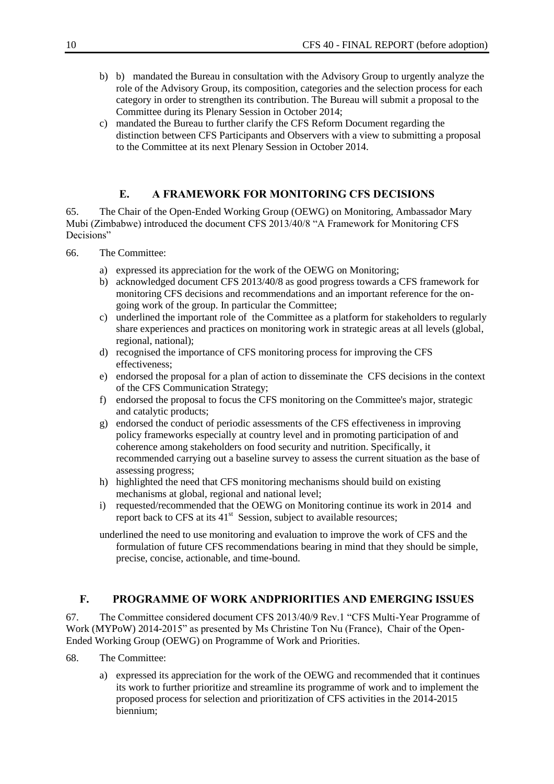- b) b) mandated the Bureau in consultation with the Advisory Group to urgently analyze the role of the Advisory Group, its composition, categories and the selection process for each category in order to strengthen its contribution. The Bureau will submit a proposal to the Committee during its Plenary Session in October 2014;
- c) mandated the Bureau to further clarify the CFS Reform Document regarding the distinction between CFS Participants and Observers with a view to submitting a proposal to the Committee at its next Plenary Session in October 2014.

# **E. A FRAMEWORK FOR MONITORING CFS DECISIONS**

65. The Chair of the Open-Ended Working Group (OEWG) on Monitoring, Ambassador Mary Mubi (Zimbabwe) introduced the document CFS 2013/40/8 "A Framework for Monitoring CFS Decisions"

- 66. The Committee:
	- a) expressed its appreciation for the work of the OEWG on Monitoring;
	- b) acknowledged document CFS 2013/40/8 as good progress towards a CFS framework for monitoring CFS decisions and recommendations and an important reference for the ongoing work of the group. In particular the Committee;
	- c) underlined the important role of the Committee as a platform for stakeholders to regularly share experiences and practices on monitoring work in strategic areas at all levels (global, regional, national);
	- d) recognised the importance of CFS monitoring process for improving the CFS effectiveness;
	- e) endorsed the proposal for a plan of action to disseminate the CFS decisions in the context of the CFS Communication Strategy;
	- f) endorsed the proposal to focus the CFS monitoring on the Committee's major, strategic and catalytic products;
	- g) endorsed the conduct of periodic assessments of the CFS effectiveness in improving policy frameworks especially at country level and in promoting participation of and coherence among stakeholders on food security and nutrition. Specifically, it recommended carrying out a baseline survey to assess the current situation as the base of assessing progress;
	- h) highlighted the need that CFS monitoring mechanisms should build on existing mechanisms at global, regional and national level;
	- i) requested/recommended that the OEWG on Monitoring continue its work in 2014 and report back to CFS at its 41<sup>st</sup> Session, subject to available resources;
	- underlined the need to use monitoring and evaluation to improve the work of CFS and the formulation of future CFS recommendations bearing in mind that they should be simple, precise, concise, actionable, and time-bound.

## **F. PROGRAMME OF WORK ANDPRIORITIES AND EMERGING ISSUES**

67. The Committee considered document CFS 2013/40/9 Rev.1 "CFS Multi-Year Programme of Work (MYPoW) 2014-2015" as presented by Ms Christine Ton Nu (France), Chair of the Open-Ended Working Group (OEWG) on Programme of Work and Priorities.

- 68. The Committee:
	- a) expressed its appreciation for the work of the OEWG and recommended that it continues its work to further prioritize and streamline its programme of work and to implement the proposed process for selection and prioritization of CFS activities in the 2014-2015 biennium;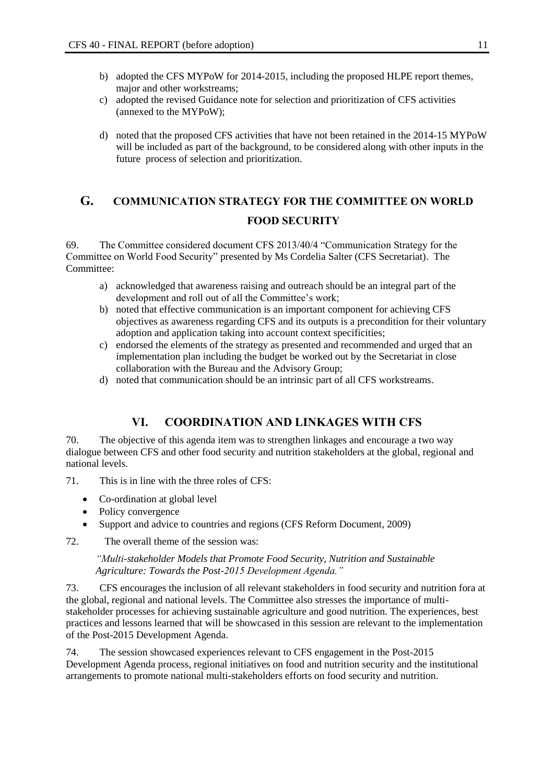- b) adopted the CFS MYPoW for 2014-2015, including the proposed HLPE report themes, major and other workstreams;
- c) adopted the revised Guidance note for selection and prioritization of CFS activities (annexed to the MYPoW);
- d) noted that the proposed CFS activities that have not been retained in the 2014-15 MYPoW will be included as part of the background, to be considered along with other inputs in the future process of selection and prioritization.

# **G. COMMUNICATION STRATEGY FOR THE COMMITTEE ON WORLD FOOD SECURITY**

69. The Committee considered document CFS 2013/40/4 "Communication Strategy for the Committee on World Food Security" presented by Ms Cordelia Salter (CFS Secretariat). The Committee:

- a) acknowledged that awareness raising and outreach should be an integral part of the development and roll out of all the Committee's work;
- b) noted that effective communication is an important component for achieving CFS objectives as awareness regarding CFS and its outputs is a precondition for their voluntary adoption and application taking into account context specificities;
- c) endorsed the elements of the strategy as presented and recommended and urged that an implementation plan including the budget be worked out by the Secretariat in close collaboration with the Bureau and the Advisory Group;
- d) noted that communication should be an intrinsic part of all CFS workstreams.

# **VI. COORDINATION AND LINKAGES WITH CFS**

70. The objective of this agenda item was to strengthen linkages and encourage a two way dialogue between CFS and other food security and nutrition stakeholders at the global, regional and national levels.

- 71. This is in line with the three roles of CFS:
	- Co-ordination at global level
	- Policy convergence
	- Support and advice to countries and regions (CFS Reform Document, 2009)
- 72. The overall theme of the session was:

*"Multi-stakeholder Models that Promote Food Security, Nutrition and Sustainable Agriculture: Towards the Post-2015 Development Agenda."*

73. CFS encourages the inclusion of all relevant stakeholders in food security and nutrition fora at the global, regional and national levels. The Committee also stresses the importance of multistakeholder processes for achieving sustainable agriculture and good nutrition. The experiences, best practices and lessons learned that will be showcased in this session are relevant to the implementation of the Post-2015 Development Agenda.

74. The session showcased experiences relevant to CFS engagement in the Post-2015 Development Agenda process, regional initiatives on food and nutrition security and the institutional arrangements to promote national multi-stakeholders efforts on food security and nutrition.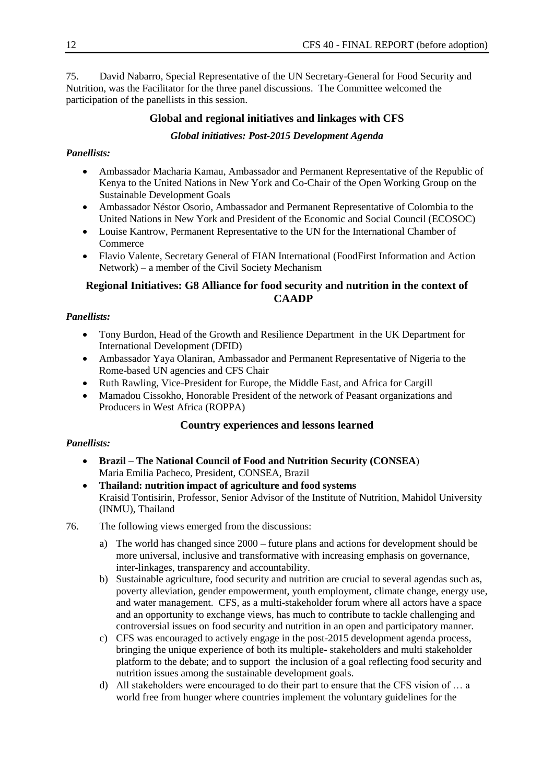75. David Nabarro, Special Representative of the UN Secretary-General for Food Security and Nutrition, was the Facilitator for the three panel discussions. The Committee welcomed the participation of the panellists in this session.

# **Global and regional initiatives and linkages with CFS**

#### *Global initiatives: Post-2015 Development Agenda*

# *Panellists:*

- Ambassador Macharia Kamau, Ambassador and Permanent Representative of the Republic of Kenya to the United Nations in New York and Co-Chair of the Open Working Group on the Sustainable Development Goals
- Ambassador Néstor Osorio, Ambassador and Permanent Representative of Colombia to the United Nations in New York and President of the Economic and Social Council (ECOSOC)
- Louise Kantrow, Permanent Representative to the UN for the International Chamber of Commerce
- Flavio Valente, Secretary General of FIAN International (FoodFirst Information and Action Network) – a member of the Civil Society Mechanism

# **Regional Initiatives: G8 Alliance for food security and nutrition in the context of CAADP**

## *Panellists:*

- Tony Burdon, Head of the Growth and Resilience Department in the UK Department for International Development (DFID)
- Ambassador Yaya Olaniran, Ambassador and Permanent Representative of Nigeria to the Rome-based UN agencies and CFS Chair
- Ruth Rawling, Vice-President for Europe, the Middle East, and Africa for Cargill
- Mamadou Cissokho, Honorable President of the network of Peasant organizations and Producers in West Africa (ROPPA)

## **Country experiences and lessons learned**

# *Panellists:*

- **Brazil – The National Council of Food and Nutrition Security (CONSEA**) Maria Emilia Pacheco, President, CONSEA, Brazil
- **Thailand: nutrition impact of agriculture and food systems** Kraisid Tontisirin, Professor, Senior Advisor of the Institute of Nutrition, Mahidol University (INMU), Thailand
- 76. The following views emerged from the discussions:
	- a) The world has changed since 2000 future plans and actions for development should be more universal, inclusive and transformative with increasing emphasis on governance, inter-linkages, transparency and accountability.
	- b) Sustainable agriculture, food security and nutrition are crucial to several agendas such as, poverty alleviation, gender empowerment, youth employment, climate change, energy use, and water management. CFS, as a multi-stakeholder forum where all actors have a space and an opportunity to exchange views, has much to contribute to tackle challenging and controversial issues on food security and nutrition in an open and participatory manner.
	- c) CFS was encouraged to actively engage in the post-2015 development agenda process, bringing the unique experience of both its multiple- stakeholders and multi stakeholder platform to the debate; and to support the inclusion of a goal reflecting food security and nutrition issues among the sustainable development goals.
	- d) All stakeholders were encouraged to do their part to ensure that the CFS vision of … a world free from hunger where countries implement the voluntary guidelines for the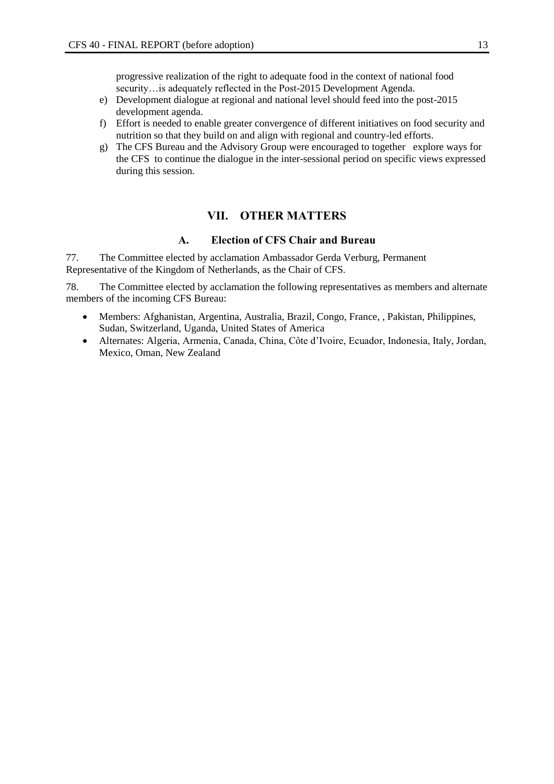progressive realization of the right to adequate food in the context of national food security…is adequately reflected in the Post-2015 Development Agenda.

- e) Development dialogue at regional and national level should feed into the post-2015 development agenda.
- f) Effort is needed to enable greater convergence of different initiatives on food security and nutrition so that they build on and align with regional and country-led efforts.
- g) The CFS Bureau and the Advisory Group were encouraged to together explore ways for the CFS to continue the dialogue in the inter-sessional period on specific views expressed during this session.

## **VII. OTHER MATTERS**

#### **A. Election of CFS Chair and Bureau**

77. The Committee elected by acclamation Ambassador Gerda Verburg, Permanent Representative of the Kingdom of Netherlands, as the Chair of CFS.

78. The Committee elected by acclamation the following representatives as members and alternate members of the incoming CFS Bureau:

- Members: Afghanistan, Argentina, Australia, Brazil, Congo, France, , Pakistan, Philippines, Sudan, Switzerland, Uganda, United States of America
- Alternates: Algeria, Armenia, Canada, China, Côte d"Ivoire, Ecuador, Indonesia, Italy, Jordan, Mexico, Oman, New Zealand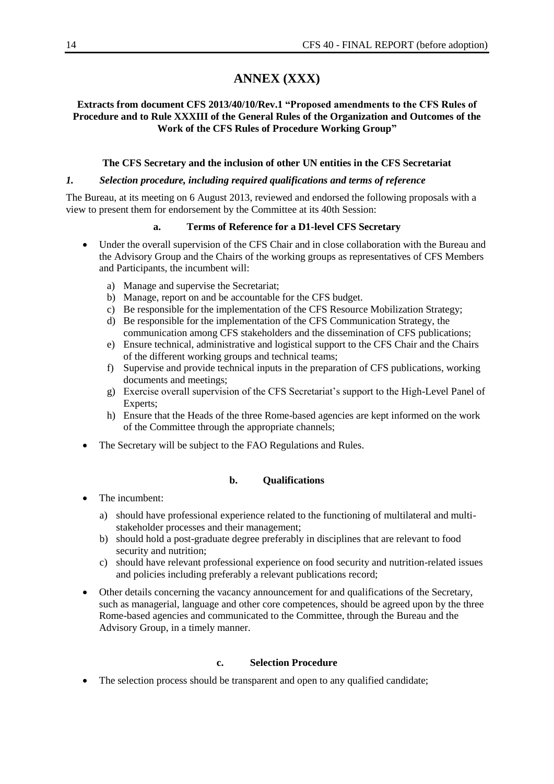# **ANNEX (XXX)**

#### **Extracts from document CFS 2013/40/10/Rev.1 "Proposed amendments to the CFS Rules of Procedure and to Rule XXXIII of the General Rules of the Organization and Outcomes of the Work of the CFS Rules of Procedure Working Group"**

#### **The CFS Secretary and the inclusion of other UN entities in the CFS Secretariat**

#### *1. Selection procedure, including required qualifications and terms of reference*

The Bureau, at its meeting on 6 August 2013, reviewed and endorsed the following proposals with a view to present them for endorsement by the Committee at its 40th Session:

#### **a. Terms of Reference for a D1-level CFS Secretary**

- Under the overall supervision of the CFS Chair and in close collaboration with the Bureau and the Advisory Group and the Chairs of the working groups as representatives of CFS Members and Participants, the incumbent will:
	- a) Manage and supervise the Secretariat;
	- b) Manage, report on and be accountable for the CFS budget.
	- c) Be responsible for the implementation of the CFS Resource Mobilization Strategy;
	- d) Be responsible for the implementation of the CFS Communication Strategy, the communication among CFS stakeholders and the dissemination of CFS publications;
	- e) Ensure technical, administrative and logistical support to the CFS Chair and the Chairs of the different working groups and technical teams;
	- f) Supervise and provide technical inputs in the preparation of CFS publications, working documents and meetings;
	- g) Exercise overall supervision of the CFS Secretariat"s support to the High-Level Panel of Experts;
	- h) Ensure that the Heads of the three Rome-based agencies are kept informed on the work of the Committee through the appropriate channels;
- The Secretary will be subject to the FAO Regulations and Rules.

#### **b. Qualifications**

- The incumbent:
	- a) should have professional experience related to the functioning of multilateral and multistakeholder processes and their management;
	- b) should hold a post-graduate degree preferably in disciplines that are relevant to food security and nutrition;
	- c) should have relevant professional experience on food security and nutrition-related issues and policies including preferably a relevant publications record;
- Other details concerning the vacancy announcement for and qualifications of the Secretary, such as managerial, language and other core competences, should be agreed upon by the three Rome-based agencies and communicated to the Committee, through the Bureau and the Advisory Group, in a timely manner.

#### **c. Selection Procedure**

• The selection process should be transparent and open to any qualified candidate;